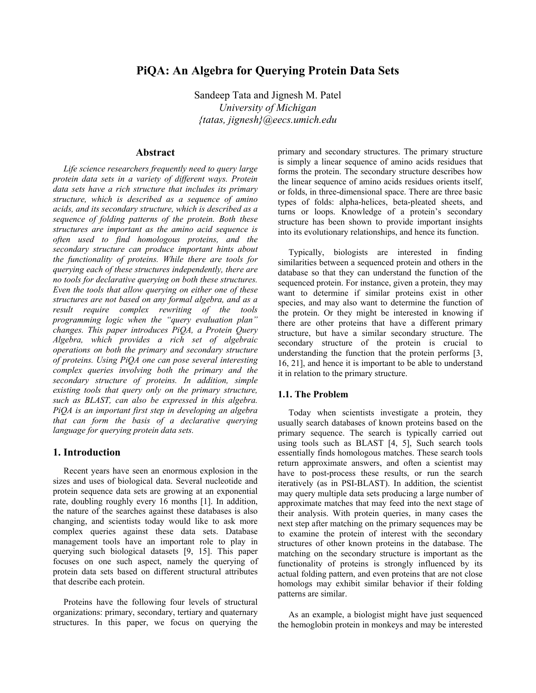# **PiQA: An Algebra for Querying Protein Data Sets**

Sandeep Tata and Jignesh M. Patel *University of Michigan {tatas, jignesh}@eecs.umich.edu* 

### **Abstract**

*Life science researchers frequently need to query large protein data sets in a variety of different ways. Protein data sets have a rich structure that includes its primary structure, which is described as a sequence of amino acids, and its secondary structure, which is described as a sequence of folding patterns of the protein. Both these structures are important as the amino acid sequence is often used to find homologous proteins, and the secondary structure can produce important hints about the functionality of proteins. While there are tools for querying each of these structures independently, there are no tools for declarative querying on both these structures. Even the tools that allow querying on either one of these structures are not based on any formal algebra, and as a result require complex rewriting of the tools programming logic when the "query evaluation plan" changes. This paper introduces PiQA, a Protein Query Algebra, which provides a rich set of algebraic operations on both the primary and secondary structure of proteins. Using PiQA one can pose several interesting complex queries involving both the primary and the secondary structure of proteins. In addition, simple existing tools that query only on the primary structure, such as BLAST, can also be expressed in this algebra. PiQA is an important first step in developing an algebra that can form the basis of a declarative querying language for querying protein data sets.* 

## **1. Introduction**

Recent years have seen an enormous explosion in the sizes and uses of biological data. Several nucleotide and protein sequence data sets are growing at an exponential rate, doubling roughly every 16 months [1]. In addition, the nature of the searches against these databases is also changing, and scientists today would like to ask more complex queries against these data sets. Database management tools have an important role to play in querying such biological datasets [9, 15]. This paper focuses on one such aspect, namely the querying of protein data sets based on different structural attributes that describe each protein.

Proteins have the following four levels of structural organizations: primary, secondary, tertiary and quaternary structures. In this paper, we focus on querying the primary and secondary structures. The primary structure is simply a linear sequence of amino acids residues that forms the protein. The secondary structure describes how the linear sequence of amino acids residues orients itself, or folds, in three-dimensional space. There are three basic types of folds: alpha-helices, beta-pleated sheets, and turns or loops. Knowledge of a protein's secondary structure has been shown to provide important insights into its evolutionary relationships, and hence its function.

Typically, biologists are interested in finding similarities between a sequenced protein and others in the database so that they can understand the function of the sequenced protein. For instance, given a protein, they may want to determine if similar proteins exist in other species, and may also want to determine the function of the protein. Or they might be interested in knowing if there are other proteins that have a different primary structure, but have a similar secondary structure. The secondary structure of the protein is crucial to understanding the function that the protein performs [3, 16, 21], and hence it is important to be able to understand it in relation to the primary structure.

### **1.1. The Problem**

Today when scientists investigate a protein, they usually search databases of known proteins based on the primary sequence. The search is typically carried out using tools such as BLAST [4, 5], Such search tools essentially finds homologous matches. These search tools return approximate answers, and often a scientist may have to post-process these results, or run the search iteratively (as in PSI-BLAST). In addition, the scientist may query multiple data sets producing a large number of approximate matches that may feed into the next stage of their analysis. With protein queries, in many cases the next step after matching on the primary sequences may be to examine the protein of interest with the secondary structures of other known proteins in the database. The matching on the secondary structure is important as the functionality of proteins is strongly influenced by its actual folding pattern, and even proteins that are not close homologs may exhibit similar behavior if their folding patterns are similar.

As an example, a biologist might have just sequenced the hemoglobin protein in monkeys and may be interested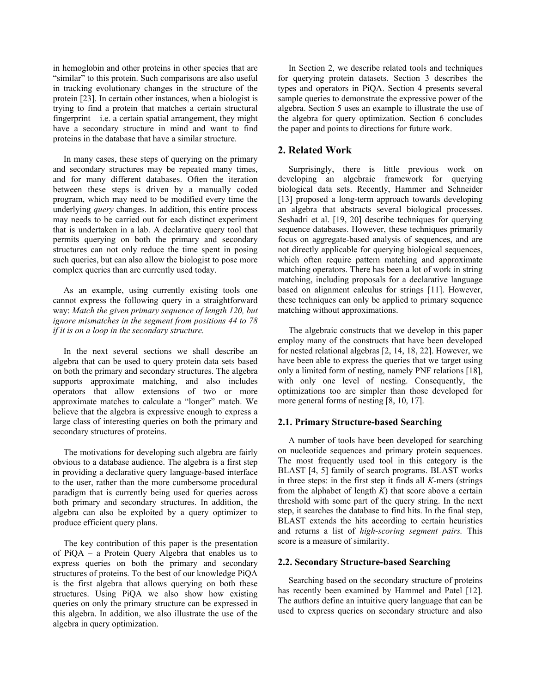in hemoglobin and other proteins in other species that are "similar" to this protein. Such comparisons are also useful in tracking evolutionary changes in the structure of the protein [23]. In certain other instances, when a biologist is trying to find a protein that matches a certain structural fingerprint  $-$  i.e. a certain spatial arrangement, they might have a secondary structure in mind and want to find proteins in the database that have a similar structure.

In many cases, these steps of querying on the primary and secondary structures may be repeated many times, and for many different databases. Often the iteration between these steps is driven by a manually coded program, which may need to be modified every time the underlying *query* changes. In addition, this entire process may needs to be carried out for each distinct experiment that is undertaken in a lab. A declarative query tool that permits querying on both the primary and secondary structures can not only reduce the time spent in posing such queries, but can also allow the biologist to pose more complex queries than are currently used today.

As an example, using currently existing tools one cannot express the following query in a straightforward way: *Match the given primary sequence of length 120, but ignore mismatches in the segment from positions 44 to 78 if it is on a loop in the secondary structure.*

In the next several sections we shall describe an algebra that can be used to query protein data sets based on both the primary and secondary structures. The algebra supports approximate matching, and also includes operators that allow extensions of two or more approximate matches to calculate a "longer" match. We believe that the algebra is expressive enough to express a large class of interesting queries on both the primary and secondary structures of proteins.

The motivations for developing such algebra are fairly obvious to a database audience. The algebra is a first step in providing a declarative query language-based interface to the user, rather than the more cumbersome procedural paradigm that is currently being used for queries across both primary and secondary structures. In addition, the algebra can also be exploited by a query optimizer to produce efficient query plans.

The key contribution of this paper is the presentation of PiQA – a Protein Query Algebra that enables us to express queries on both the primary and secondary structures of proteins. To the best of our knowledge PiQA is the first algebra that allows querying on both these structures. Using PiQA we also show how existing queries on only the primary structure can be expressed in this algebra. In addition, we also illustrate the use of the algebra in query optimization.

In Section 2, we describe related tools and techniques for querying protein datasets. Section 3 describes the types and operators in PiQA. Section 4 presents several sample queries to demonstrate the expressive power of the algebra. Section 5 uses an example to illustrate the use of the algebra for query optimization. Section 6 concludes the paper and points to directions for future work.

# **2. Related Work**

Surprisingly, there is little previous work on developing an algebraic framework for querying biological data sets. Recently, Hammer and Schneider [13] proposed a long-term approach towards developing an algebra that abstracts several biological processes. Seshadri et al. [19, 20] describe techniques for querying sequence databases. However, these techniques primarily focus on aggregate-based analysis of sequences, and are not directly applicable for querying biological sequences, which often require pattern matching and approximate matching operators. There has been a lot of work in string matching, including proposals for a declarative language based on alignment calculus for strings [11]. However, these techniques can only be applied to primary sequence matching without approximations.

The algebraic constructs that we develop in this paper employ many of the constructs that have been developed for nested relational algebras [2, 14, 18, 22]. However, we have been able to express the queries that we target using only a limited form of nesting, namely PNF relations [18], with only one level of nesting. Consequently, the optimizations too are simpler than those developed for more general forms of nesting [8, 10, 17].

### **2.1. Primary Structure-based Searching**

A number of tools have been developed for searching on nucleotide sequences and primary protein sequences. The most frequently used tool in this category is the BLAST [4, 5] family of search programs. BLAST works in three steps: in the first step it finds all *K*-mers (strings from the alphabet of length  $\overline{K}$ ) that score above a certain threshold with some part of the query string. In the next step, it searches the database to find hits. In the final step, BLAST extends the hits according to certain heuristics and returns a list of *high-scoring segment pairs.* This score is a measure of similarity.

### **2.2. Secondary Structure-based Searching**

Searching based on the secondary structure of proteins has recently been examined by Hammel and Patel [12]. The authors define an intuitive query language that can be used to express queries on secondary structure and also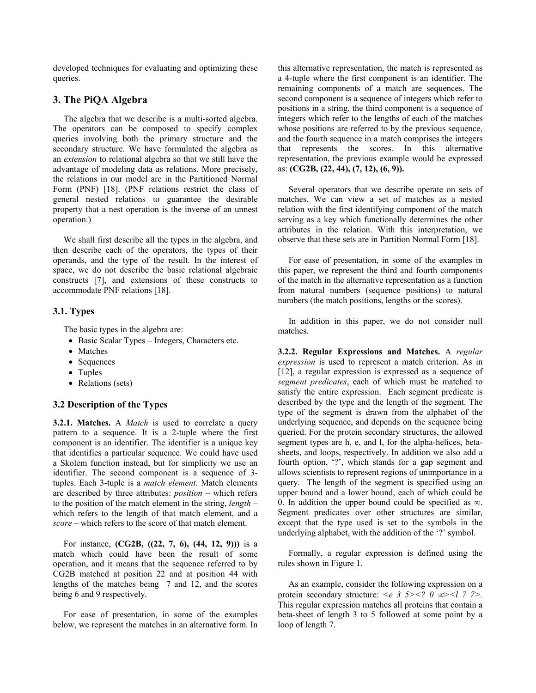developed techniques for evaluating and optimizing these queries.

# **3. The PiQA Algebra**

The algebra that we describe is a multi-sorted algebra. The operators can be composed to specify complex queries involving both the primary structure and the secondary structure. We have formulated the algebra as an *extension* to relational algebra so that we still have the advantage of modeling data as relations. More precisely, the relations in our model are in the Partitioned Normal Form (PNF) [18]. (PNF relations restrict the class of general nested relations to guarantee the desirable property that a nest operation is the inverse of an unnest operation.)

We shall first describe all the types in the algebra, and then describe each of the operators, the types of their operands, and the type of the result. In the interest of space, we do not describe the basic relational algebraic constructs [7], and extensions of these constructs to accommodate PNF relations [18].

### **3.1. Types**

The basic types in the algebra are:

- Basic Scalar Types Integers, Characters etc.
- Matches
- Sequences
- Tuples
- Relations (sets)

## **3.2 Description of the Types**

**3.2.1. Matches.** A *Match* is used to correlate a query pattern to a sequence. It is a 2-tuple where the first component is an identifier. The identifier is a unique key that identifies a particular sequence. We could have used a Skolem function instead, but for simplicity we use an identifier. The second component is a sequence of 3 tuples. Each 3-tuple is a *match element*. Match elements are described by three attributes: *position* – which refers to the position of the match element in the string, *length* – which refers to the length of that match element, and a *score* – which refers to the score of that match element.

For instance, **(CG2B, ((22, 7, 6), (44, 12, 9)))** is a match which could have been the result of some operation, and it means that the sequence referred to by CG2B matched at position 22 and at position 44 with lengths of the matches being 7 and 12, and the scores being 6 and 9 respectively.

For ease of presentation, in some of the examples below, we represent the matches in an alternative form. In this alternative representation, the match is represented as a 4-tuple where the first component is an identifier. The remaining components of a match are sequences. The second component is a sequence of integers which refer to positions in a string, the third component is a sequence of integers which refer to the lengths of each of the matches whose positions are referred to by the previous sequence, and the fourth sequence in a match comprises the integers that represents the scores. In this alternative representation, the previous example would be expressed as: **(CG2B, (22, 44), (7, 12), (6, 9)).**

Several operators that we describe operate on sets of matches. We can view a set of matches as a nested relation with the first identifying component of the match serving as a key which functionally determines the other attributes in the relation. With this interpretation, we observe that these sets are in Partition Normal Form [18].

For ease of presentation, in some of the examples in this paper, we represent the third and fourth components of the match in the alternative representation as a function from natural numbers (sequence positions) to natural numbers (the match positions, lengths or the scores).

In addition in this paper, we do not consider null matches.

**3.2.2. Regular Expressions and Matches.** A *regular expression* is used to represent a match criterion. As in [12], a regular expression is expressed as a sequence of *segment predicates*, each of which must be matched to satisfy the entire expression. Each segment predicate is described by the type and the length of the segment. The type of the segment is drawn from the alphabet of the underlying sequence, and depends on the sequence being queried. For the protein secondary structures, the allowed segment types are h, e, and l, for the alpha-helices, betasheets, and loops, respectively. In addition we also add a fourth option, '?', which stands for a gap segment and allows scientists to represent regions of unimportance in a query. The length of the segment is specified using an upper bound and a lower bound, each of which could be 0. In addition the upper bound could be specified as  $\infty$ . Segment predicates over other structures are similar, except that the type used is set to the symbols in the underlying alphabet, with the addition of the '?' symbol.

Formally, a regular expression is defined using the rules shown in Figure 1.

As an example, consider the following expression on a protein secondary structure:  $\leq e$  3 5> $\leq$ ? 0  $\infty$  $\leq$ l 7 7>. This regular expression matches all proteins that contain a beta-sheet of length 3 to 5 followed at some point by a loop of length 7.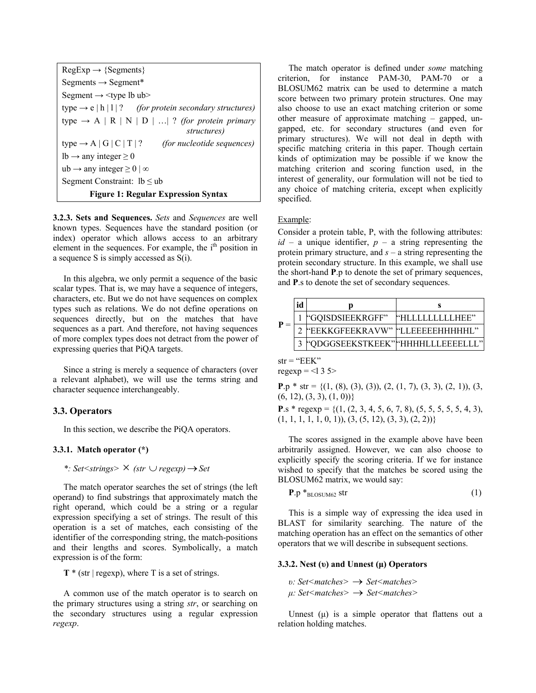| $RegExp \rightarrow \{Segments\}$                                          |  |  |
|----------------------------------------------------------------------------|--|--|
| Segments $\rightarrow$ Segment*                                            |  |  |
| Segment $\rightarrow$ <type lb="" ub=""></type>                            |  |  |
| type $\rightarrow$ e   h   l   ? (for protein secondary structures)        |  |  |
| type $\rightarrow$ A   R   N   D     ? (for protein primary<br>structures) |  |  |
| type $\rightarrow$ A   G   C   T   ?<br><i>(for nucleotide sequences)</i>  |  |  |
| $lb \rightarrow$ any integer $\geq 0$                                      |  |  |
| ub $\rightarrow$ any integer $\geq 0$   $\infty$                           |  |  |
| Segment Constraint: $lb \leq ub$                                           |  |  |
| <b>Figure 1: Regular Expression Syntax</b>                                 |  |  |

**3.2.3. Sets and Sequences.** *Sets* and *Sequences* are well known types. Sequences have the standard position (or index) operator which allows access to an arbitrary element in the sequences. For example, the  $i<sup>th</sup>$  position in a sequence S is simply accessed as S(i).

In this algebra, we only permit a sequence of the basic scalar types. That is, we may have a sequence of integers, characters, etc. But we do not have sequences on complex types such as relations. We do not define operations on sequences directly, but on the matches that have sequences as a part. And therefore, not having sequences of more complex types does not detract from the power of expressing queries that PiQA targets.

Since a string is merely a sequence of characters (over a relevant alphabet), we will use the terms string and character sequence interchangeably.

### **3.3. Operators**

In this section, we describe the PiQA operators.

### **3.3.1. Match operator (\*)**

*\*: Set<strings>* × *(str* ∪ *regexp)*→*Set* 

The match operator searches the set of strings (the left operand) to find substrings that approximately match the right operand, which could be a string or a regular expression specifying a set of strings. The result of this operation is a set of matches, each consisting of the identifier of the corresponding string, the match-positions and their lengths and scores. Symbolically, a match expression is of the form:

**T** \* (str | regexp), where T is a set of strings.

A common use of the match operator is to search on the primary structures using a string *str*, or searching on the secondary structures using a regular expression *regexp*.

The match operator is defined under *some* matching criterion, for instance PAM-30, PAM-70 or a BLOSUM62 matrix can be used to determine a match score between two primary protein structures. One may also choose to use an exact matching criterion or some other measure of approximate matching – gapped, ungapped, etc. for secondary structures (and even for primary structures). We will not deal in depth with specific matching criteria in this paper. Though certain kinds of optimization may be possible if we know the matching criterion and scoring function used, in the interest of generality, our formulation will not be tied to any choice of matching criteria, except when explicitly specified.

#### Example:

Consider a protein table, P, with the following attributes:  $id - a$  unique identifier,  $p - a$  string representing the protein primary structure, and *s* – a string representing the protein secondary structure. In this example, we shall use the short-hand **P**.p to denote the set of primary sequences, and **P**.s to denote the set of secondary sequences.

|  | <b><i><u>*GQISDSIEEKRGFF</u></i></b> | "HLLLLLLLLHEE" |
|--|--------------------------------------|----------------|
|  | "EEKKGFEEKRAVW" "LLEEEEEHHHHHI."     |                |
|  | "QDGGSEEKSTKEEK" HHHHLLLEEEELLE      |                |

 $str = "EEK"$ regexp =  $<$ l 3 5>

**P**.p \* str = { $(1, (8), (3), (3), (2, (1, 7), (3, 3), (2, 1)), (3, 3)$  $(6, 12), (3, 3), (1, 0)$ }

**P**.s \* regexp = { $(1, (2, 3, 4, 5, 6, 7, 8), (5, 5, 5, 5, 5, 4, 3),$  $(1, 1, 1, 1, 1, 0, 1), (3, (5, 12), (3, 3), (2, 2))$ 

The scores assigned in the example above have been arbitrarily assigned. However, we can also choose to explicitly specify the scoring criteria. If we for instance wished to specify that the matches be scored using the BLOSUM62 matrix, we would say:

$$
\mathbf{P}.\mathbf{p} *_{\text{BLOSUM62}} \text{str} \tag{1}
$$

This is a simple way of expressing the idea used in BLAST for similarity searching. The nature of the matching operation has an effect on the semantics of other operators that we will describe in subsequent sections.

#### **3.3.2. Nest (υ) and Unnest (μ) Operators**

*υ: Set<matches>* → *Set<matches> μ: Set<matches>* → *Set<matches>* 

Unnest  $(\mu)$  is a simple operator that flattens out a relation holding matches.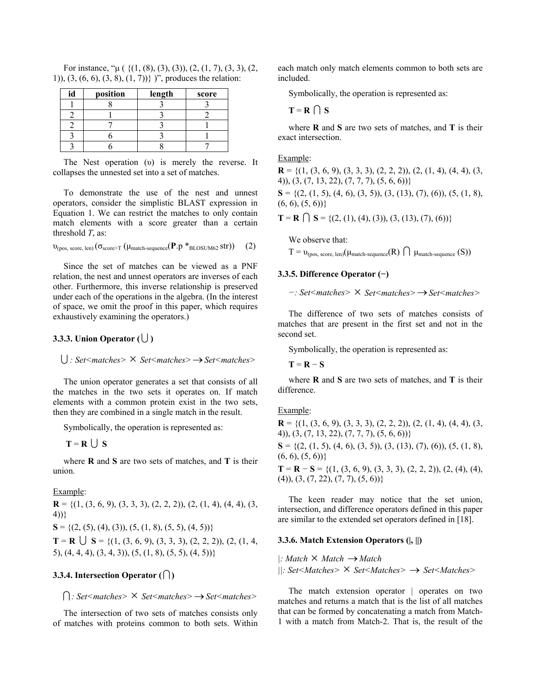| id | position | length | score |
|----|----------|--------|-------|
|    |          |        |       |
|    |          |        |       |
|    |          |        |       |
|    |          |        |       |
|    |          |        |       |

For instance, " $\mu$  ( {(1, (8), (3), (3)), (2, (1, 7), (3, 3), (2, 1)), (3, (6, 6), (3, 8), (1, 7))} )", produces the relation:

The Nest operation (υ) is merely the reverse. It collapses the unnested set into a set of matches.

To demonstrate the use of the nest and unnest operators, consider the simplistic BLAST expression in Equation 1. We can restrict the matches to only contain match elements with a score greater than a certain threshold *T*, as:

$$
\upsilon_{(pos,\:score,\:len)}(\sigma_{score \geq T}(\mu_{match\:sequence}(P.p *_{\text{BLOSUM62}} str)) \quad (2)
$$

Since the set of matches can be viewed as a PNF relation, the nest and unnest operators are inverses of each other. Furthermore, this inverse relationship is preserved under each of the operations in the algebra. (In the interest of space, we omit the proof in this paper, which requires exhaustively examining the operators.)

## **3.3.3. Union Operator (∪)**

#### U *: Set<matches>* × *Set<matches>*→*Set<matches>*

The union operator generates a set that consists of all the matches in the two sets it operates on. If match elements with a common protein exist in the two sets, then they are combined in a single match in the result.

Symbolically, the operation is represented as:

$$
T = R \cup S
$$

where **R** and **S** are two sets of matches, and **T** is their union.

#### Example:

**R** = { $(1, (3, 6, 9), (3, 3, 3), (2, 2, 2)), (2, (1, 4), (4, 4), (3, 4))$ 4))}  $S = \{(2, (5), (4), (3)), (5, (1, 8), (5, 5), (4, 5))\}$ **T** = **R**  $\bigcup$  **S** = {(1, (3, 6, 9), (3, 3, 3), (2, 2, 2)), (2, (1, 4, 5), (4, 4, 4), (3, 4, 3)), (5, (1, 8), (5, 5), (4, 5))}

#### **3.3.4. Intersection Operator**  $(\bigcap)$

I*: Set<matches>* × *Set<matches>*→*Set<matches>* 

The intersection of two sets of matches consists only of matches with proteins common to both sets. Within each match only match elements common to both sets are included.

Symbolically, the operation is represented as:

$$
\mathbf{T} = \mathbf{R} \cap \mathbf{S}
$$

where **R** and **S** are two sets of matches, and **T** is their exact intersection.

### Example:

**R** = { $(1, (3, 6, 9), (3, 3, 3), (2, 2, 2)$ },  $(2, (1, 4), (4, 4), (3, 4))$ 4)), (3, (7, 13, 22), (7, 7, 7), (5, 6, 6))}

 $S = \{(2, (1, 5), (4, 6), (3, 5)), (3, (13), (7), (6)), (5, (1, 8),$  $(6, 6), (5, 6)$ 

**T** = **R**  $\bigcap$  **S** = {(2, (1), (4), (3)), (3, (13), (7), (6))}

We observe that:  $T = v_{\text{(nos score len)}}(\mu_{\text{match-sequence}}(R) \cap \mu_{\text{match-sequence}}(S))$ 

### **3.3.5. Difference Operator (−)**

$$
-: Set < matches > \times Set < matches > \rightarrow Set < matches >
$$

The difference of two sets of matches consists of matches that are present in the first set and not in the second set.

Symbolically, the operation is represented as:

 $T = R - S$ 

where **R** and **S** are two sets of matches, and **T** is their difference.

#### Example:

 $\mathbf{R} = \{(1, (3, 6, 9), (3, 3, 3), (2, 2, 2)), (2, (1, 4), (4, 4), (3,$ 4)), (3, (7, 13, 22), (7, 7, 7), (5, 6, 6))}  $S = \{(2, (1, 5), (4, 6), (3, 5)), (3, (13), (7), (6)), (5, (1, 8),$  $(6, 6), (5, 6)$ }

**T** = **R** − **S** = {(1, (3, 6, 9), (3, 3, 3), (2, 2, 2)), (2, (4), (4),  $(4)$ ,  $(3, (7, 22), (7, 7), (5, 6))$ 

The keen reader may notice that the set union, intersection, and difference operators defined in this paper are similar to the extended set operators defined in [18].

#### **3.3.6. Match Extension Operators (|, ||)**

*|: Match* × *Match* →*Match* 

*||: Set<Matches>* × *Set<Matches>* → *Set<Matches>* 

The match extension operator | operates on two matches and returns a match that is the list of all matches that can be formed by concatenating a match from Match-1 with a match from Match-2. That is, the result of the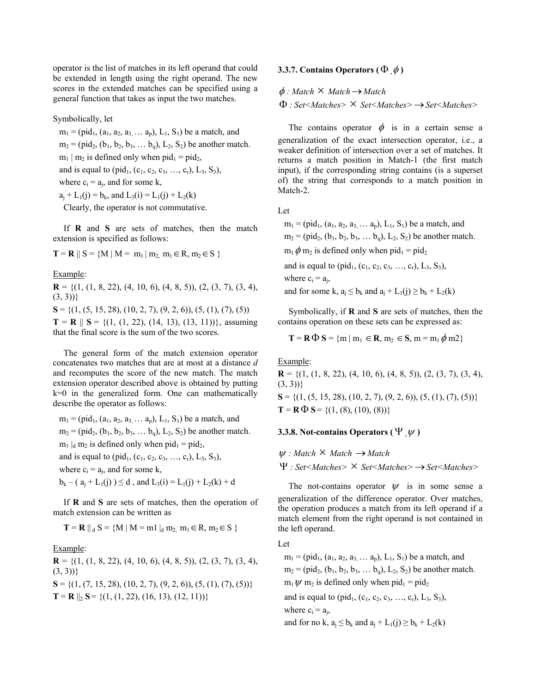operator is the list of matches in its left operand that could be extended in length using the right operand. The new scores in the extended matches can be specified using a general function that takes as input the two matches.

Symbolically, let

 $m_1$  = (pid<sub>1</sub>, (a<sub>1</sub>, a<sub>2</sub>, a<sub>3,</sub> ... a<sub>p</sub>), L<sub>1</sub>, S<sub>1</sub>) be a match, and  $m_2$  = (pid<sub>2</sub>, (b<sub>1</sub>, b<sub>2</sub>, b<sub>3</sub>, ... b<sub>q</sub>), L<sub>2</sub>, S<sub>2</sub>) be another match.  $m_1 | m_2$  is defined only when pid<sub>1</sub> = pid<sub>2</sub>,

and is equal to (pid<sub>1</sub>, (c<sub>1</sub>, c<sub>2</sub>, c<sub>3</sub>, ..., c<sub>r</sub>), L<sub>3</sub>, S<sub>3</sub>),

where  $c_i = a_i$ , and for some k,

 $a_i + L_1(j) = b_k$ , and  $L_3(i) = L_1(j) + L_2(k)$ 

Clearly, the operator is not commutative.

If **R** and **S** are sets of matches, then the match extension is specified as follows:

 $T = R \parallel S = \{M \mid M = m_1 \mid m_2, m_1 \in R, m_2 \in S \}$ 

Example:

**R** = { $(1, (1, 8, 22), (4, 10, 6), (4, 8, 5)$ },  $(2, (3, 7), (3, 4),$  $(3, 3)$ }

 $S = \{(1, (5, 15, 28), (10, 2, 7), (9, 2, 6), (5, (1), (7), (5))\}$ 

**T** = **R**  $\parallel$  **S** = {(1, (1, 22), (14, 13), (13, 11))}, assuming that the final score is the sum of the two scores.

The general form of the match extension operator concatenates two matches that are at most at a distance *d* and recomputes the score of the new match. The match extension operator described above is obtained by putting k=0 in the generalized form. One can mathematically describe the operator as follows:

 $m_1$  = (pid<sub>1</sub>, (a<sub>1</sub>, a<sub>2</sub>, a<sub>3,</sub> ... a<sub>p</sub>), L<sub>1</sub>, S<sub>1</sub>) be a match, and

 $m_2$  = (pid<sub>2</sub>, (b<sub>1</sub>, b<sub>2</sub>, b<sub>3</sub>, ... b<sub>q</sub>), L<sub>2</sub>, S<sub>2</sub>) be another match.

 $m_1 |_d m_2$  is defined only when pid<sub>1</sub> = pid<sub>2</sub>,

and is equal to (pid<sub>1</sub>, (c<sub>1</sub>, c<sub>2</sub>, c<sub>3</sub>, ..., c<sub>r</sub>), L<sub>3</sub>, S<sub>3</sub>),

where  $c_i = a_i$ , and for some k,

 $b_k - (a_i + L_1(i)) \le d$ , and  $L_3(i) = L_1(i) + L_2(k) + d$ 

If **R** and **S** are sets of matches, then the operation of match extension can be written as

 $T = R || d S = {M || M = m1 || d m2 m1 \in R, m2 \in S}$ 

Example:

**R** = { $(1, (1, 8, 22), (4, 10, 6), (4, 8, 5)$ },  $(2, (3, 7), (3, 4)$ ,  $(3, 3)$ }  $S = \{(1, (7, 15, 28), (10, 2, 7), (9, 2, 6), (5, (1), (7), (5))\}$  $T = R ||_2 S = \{(1, (1, 22), (16, 13), (12, 11))\}$ 

### **3.3.7. Contains Operators (**Φ **,**φ **)**

φ *: Match* × *Match*→*Match* 

Φ *: Set<Matches>* × *Set<Matches>*→*Set<Matches>* 

The contains operator  $\phi$  is in a certain sense a generalization of the exact intersection operator, i.e., a weaker definition of intersection over a set of matches. It returns a match position in Match-1 (the first match input), if the corresponding string contains (is a superset of) the string that corresponds to a match position in Match-2.

Let

 $m_1$  = (pid<sub>1</sub>, (a<sub>1</sub>, a<sub>2</sub>, a<sub>3,</sub> ... a<sub>p</sub>), L<sub>1</sub>, S<sub>1</sub>) be a match, and

 $m_2$  = (pid<sub>2</sub>, (b<sub>1</sub>, b<sub>2</sub>, b<sub>3</sub>, ... b<sub>a</sub>), L<sub>2</sub>, S<sub>2</sub>) be another match.

 $m_1 \phi m_2$  is defined only when pid<sub>1</sub> = pid<sub>2</sub>

and is equal to (pid<sub>1</sub>, (c<sub>1</sub>, c<sub>2</sub>, c<sub>3</sub>, …, c<sub>r</sub>), L<sub>3</sub>, S<sub>3</sub>),

where  $c_i = a_i$ ,

and for some k,  $a_i \leq b_k$  and  $a_i + L_1(i) \geq b_k + L_2(k)$ 

Symbolically, if **R** and **S** are sets of matches, then the contains operation on these sets can be expressed as:

$$
\mathbf{T} = \mathbf{R} \, \Phi \, \mathbf{S} = \{ m \mid m_1 \in \mathbf{R}, m_2 \in \mathbf{S}, m = m_1 \, \phi \, m2 \}
$$

Example:

 $\mathbf{R} = \{(1, (1, 8, 22), (4, 10, 6), (4, 8, 5)), (2, (3, 7), (3, 4),\}$  $(3, 3)$ }  $S = \{(1, (5, 15, 28), (10, 2, 7), (9, 2, 6), (5, (1), (7), (5))\}$  $T = R \Phi S = \{(1, (8), (10), (8))\}$ 

### **3.3.8. Not-contains Operators (**Ψ **,**<sup>ψ</sup> **)**

 $ψ$  *: Match*  $×$  *Match*  $→$  *Match* 

Ψ *: Set<Matches>* × *Set<Matches>*→*Set<Matches>* 

The not-contains operator  $\psi$  is in some sense a generalization of the difference operator. Over matches, the operation produces a match from its left operand if a match element from the right operand is not contained in the left operand.

Let

 $m_1$  = (pid<sub>1</sub>, (a<sub>1</sub>, a<sub>2</sub>, a<sub>3</sub>, ... a<sub>p</sub>), L<sub>1</sub>, S<sub>1</sub>) be a match, and  $m_2$  = (pid<sub>2</sub>, (b<sub>1</sub>, b<sub>2</sub>, b<sub>3</sub>, ... b<sub>a</sub>), L<sub>2</sub>, S<sub>2</sub>) be another match.  $m_1 \psi$  m<sub>2</sub> is defined only when pid<sub>1</sub> = pid<sub>2</sub> and is equal to (pid<sub>1</sub>, (c<sub>1</sub>, c<sub>2</sub>, c<sub>3</sub>, ..., c<sub>r</sub>), L<sub>3</sub>, S<sub>3</sub>), where  $c_i = a_i$ , and for no k,  $a_i \leq b_k$  and  $a_i + L_1(i) \geq b_k + L_2(k)$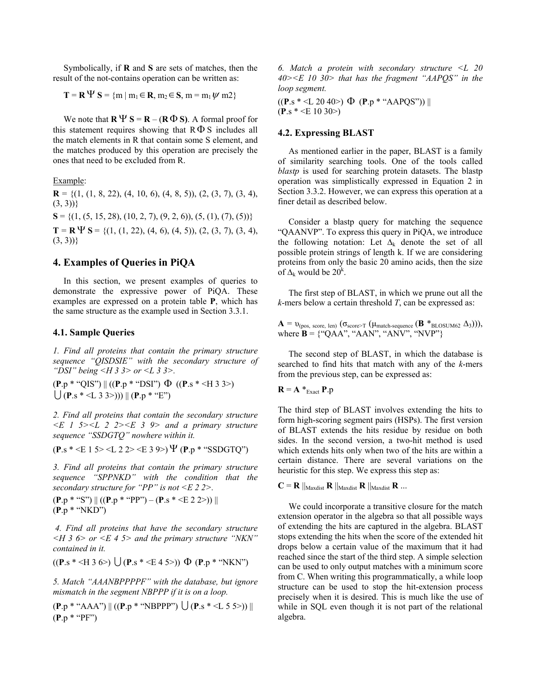Symbolically, if **R** and **S** are sets of matches, then the result of the not-contains operation can be written as:

$$
\mathbf{T} = \mathbf{R} \, \Psi \, \mathbf{S} = \{ m \mid m_1 \in \mathbf{R}, m_2 \in \mathbf{S}, m = m_1 \, \psi \, m2 \}
$$

We note that  $\mathbf{R} \Psi \mathbf{S} = \mathbf{R} - (\mathbf{R} \Phi \mathbf{S})$ . A formal proof for this statement requires showing that  $R\Phi S$  includes all the match elements in R that contain some S element, and the matches produced by this operation are precisely the ones that need to be excluded from R.

Example:

 $\mathbf{R} = \{(1, (1, 8, 22), (4, 10, 6), (4, 8, 5)), (2, (3, 7), (3, 4),\}$  $(3, 3)$ }  $S = \{(1, (5, 15, 28), (10, 2, 7), (9, 2, 6), (5, (1), (7), (5))\}$ **T** = **R**  $\Psi$  **S** = {(1, (1, 22), (4, 6), (4, 5)), (2, (3, 7), (3, 4),  $(3, 3)$ }

## **4. Examples of Queries in PiQA**

In this section, we present examples of queries to demonstrate the expressive power of PiQA. These examples are expressed on a protein table **P**, which has the same structure as the example used in Section 3.3.1.

## **4.1. Sample Queries**

*1. Find all proteins that contain the primary structure sequence "QISDSIE" with the secondary structure of "DSI" being <H 3 3> or <L 3 3>.* 

(**P**.p \* "QIS") || ((**P**.p \* "DSI") Φ ((**P**.s \* <H 3 3>)  $\left( \int (P \cdot S * \langle L \cdot 3 \cdot 3 \rangle)) \right) || (P \cdot D * "E")$ 

*2. Find all proteins that contain the secondary structure <E 1 5><L 2 2><E 3 9> and a primary structure sequence "SSDGTQ" nowhere within it.* 

 $(P_s * \leq E 15 > \leq L 2 \geq \leq E 39 >) \Psi (P_n * "SSDGTO")$ 

*3. Find all proteins that contain the primary structure sequence "SPPNKD" with the condition that the secondary structure for "PP" is not <E 2 2>.* 

(**P**.p \* "S") || ((**P**.p \* "PP") – (**P**.s \* <E 2 2>)) || (**P**.p \* "NKD")

*4. Find all proteins that have the secondary structure <H 3 6> or <E 4 5> and the primary structure "NKN" contained in it.* 

$$
((P.s * < H 3 6>) \cup (P.s * < E 4 5>)) \Phi (P.p * "NKN")
$$

*5. Match "AAANBPPPPF" with the database, but ignore mismatch in the segment NBPPP if it is on a loop.* 

 $(P.p * "AAA") || ((P.p * "NBPPP") \bigcup (P.s * < L 5 5>) ||$ (**P**.p \* "PF")

*6. Match a protein with secondary structure <L 20 40><E 10 30> that has the fragment "AAPQS" in the loop segment.* 

((**P**.s \* <L 20 40>) Φ (**P**.p \* "AAPQS")) || (**P**.s \* <E 10 30>)

## **4.2. Expressing BLAST**

As mentioned earlier in the paper, BLAST is a family of similarity searching tools. One of the tools called *blastp* is used for searching protein datasets. The blastp operation was simplistically expressed in Equation 2 in Section 3.3.2. However, we can express this operation at a finer detail as described below.

Consider a blastp query for matching the sequence "QAANVP". To express this query in PiQA, we introduce the following notation: Let  $\Delta_k$  denote the set of all possible protein strings of length k. If we are considering proteins from only the basic 20 amino acids, then the size of  $\Delta_k$  would be  $20^k$ .

The first step of BLAST, in which we prune out all the *k*-mers below a certain threshold *T*, can be expressed as:

 $\mathbf{A} = \mathbf{v}_{(pos, score, len)} (\sigma_{score > T} (\mu_{match-sequence} (\mathbf{B} *_{BLOSUM62} \Delta_3))),$ where  $\mathbf{B} = \{``QAA", ``AAN", ``ANV", ``NVP"\}$ 

The second step of BLAST, in which the database is searched to find hits that match with any of the *k*-mers from the previous step, can be expressed as:

$$
\mathbf{R} = \mathbf{A} *_{\text{Exact}} \mathbf{P}.\mathbf{p}
$$

The third step of BLAST involves extending the hits to form high-scoring segment pairs (HSPs). The first version of BLAST extends the hits residue by residue on both sides. In the second version, a two-hit method is used which extends hits only when two of the hits are within a certain distance. There are several variations on the heuristic for this step. We express this step as:

 $\mathbf{C} = \mathbf{R} \parallel_{\text{Maxdist}} \mathbf{R} \parallel_{\text{Maxdist}} \mathbf{R} \parallel_{\text{Maxdist}} \mathbf{R} \dots$ 

We could incorporate a transitive closure for the match extension operator in the algebra so that all possible ways of extending the hits are captured in the algebra. BLAST stops extending the hits when the score of the extended hit drops below a certain value of the maximum that it had reached since the start of the third step. A simple selection can be used to only output matches with a minimum score from C. When writing this programmatically, a while loop structure can be used to stop the hit-extension process precisely when it is desired. This is much like the use of while in SQL even though it is not part of the relational algebra.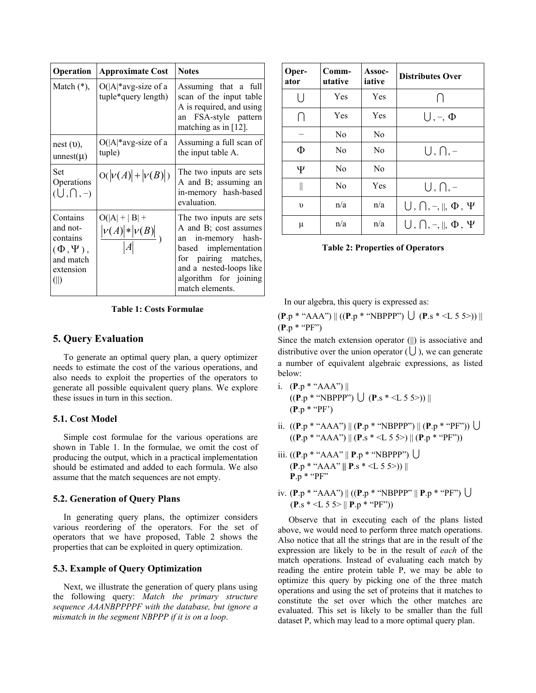| <b>Operation</b>                                                                      | <b>Approximate Cost</b>                              | <b>Notes</b>                                                                                                                                                                                  |
|---------------------------------------------------------------------------------------|------------------------------------------------------|-----------------------------------------------------------------------------------------------------------------------------------------------------------------------------------------------|
| Match $(*)$ ,                                                                         | $O( A $ *avg-size of a<br>tuple*query length)        | Assuming that a full<br>scan of the input table<br>A is required, and using<br>FSA-style pattern<br>an<br>matching as in $[12]$ .                                                             |
| nest (0),<br>unnest $(\mu)$                                                           | $O( A $ *avg-size of a<br>tuple)                     | Assuming a full scan of<br>the input table A.                                                                                                                                                 |
| Set<br>Operations<br>$(U,\bigcap,-)$                                                  | $O( \nu(A)  +  \nu(B) )$                             | The two inputs are sets<br>A and B; assuming an<br>in-memory hash-based<br>evaluation.                                                                                                        |
| Contains<br>and not-<br>contains<br>$(\Phi,\Psi)$ ,<br>and match<br>extension<br>(  ) | $O( A  +  B  +$<br>$\frac{ \nu(A)  *  \nu(B) }{ A }$ | The two inputs are sets<br>A and B; cost assumes<br>an in-memory hash-<br>based implementation<br>for pairing matches,<br>and a nested-loops like<br>algorithm for joining<br>match elements. |

**Table 1: Costs Formulae** 

#### **5. Query Evaluation**

To generate an optimal query plan, a query optimizer needs to estimate the cost of the various operations, and also needs to exploit the properties of the operators to generate all possible equivalent query plans. We explore these issues in turn in this section.

### **5.1. Cost Model**

Simple cost formulae for the various operations are shown in Table 1. In the formulae, we omit the cost of producing the output, which in a practical implementation should be estimated and added to each formula. We also assume that the match sequences are not empty.

#### **5.2. Generation of Query Plans**

In generating query plans, the optimizer considers various reordering of the operators. For the set of operators that we have proposed, Table 2 shows the properties that can be exploited in query optimization.

## **5.3. Example of Query Optimization**

Next, we illustrate the generation of query plans using the following query: *Match the primary structure sequence AAANBPPPPF with the database, but ignore a mismatch in the segment NBPPP if it is on a loop*.

| Oper-<br>ator                         | Comm-<br>utative | Assoc-<br>iative | <b>Distributes Over</b>                         |
|---------------------------------------|------------------|------------------|-------------------------------------------------|
| $\vert \ \vert$                       | Yes              | Yes              | $\lceil$                                        |
| $\bigcap$                             | Yes              | Yes              | $\bigcup, \neg, \Phi$                           |
|                                       | N <sub>0</sub>   | No               |                                                 |
| Ф                                     | N <sub>0</sub>   | N <sub>0</sub>   | $U, \bigcap_{\tau}$                             |
| Ψ                                     | N <sub>0</sub>   | N <sub>0</sub>   |                                                 |
| $\begin{array}{c} \hline \end{array}$ | N <sub>0</sub>   | Yes              | $U, \bigcap_{x}$ -                              |
| υ                                     | n/a              | n/a              | $\bigcup, \bigcap, \neg, \parallel, \Phi, \Psi$ |
| μ                                     | n/a              | n/a              | $\bigcup, \bigcap, \neg, \parallel, \Phi, \Psi$ |

**Table 2: Properties of Operators** 

In our algebra, this query is expressed as:

 $(P.p * "AAA") || ((P.p * "NBPPP") \cup (P.s *  $\leq L 5 5$ )) ||$ (**P**.p \* "PF")

Since the match extension operator (||) is associative and distributive over the union operator  $(U)$ , we can generate a number of equivalent algebraic expressions, as listed below:

- i. (**P**.p \* "AAA") ||  $((P.p * "NBPPP") \cup (P.s * < L 5 5))$ (**P**.p \* "PF')
- ii.  $((P.p * "AAA") \|(P.p * "NBPPP") \|(P.p * "PF") \}\$  $((P.p * "AAA") \parallel (P.s * < L 5 5>) \parallel (P.p * "PF")$
- iii.  $((P.p * "AAA" || P.p * "NBPPP")$  (**P**.p \* "AAA" **|| P**.s \* <L 5 5>)) || **P**.p \* "PF"
- iv. (**P**.p \* "AAA") || ((**P**.p \* "NBPPP" || **P**.p \* "PF") U  $(P_s * < L 5 5 > || P_p * "PF")$

Observe that in executing each of the plans listed above, we would need to perform three match operations. Also notice that all the strings that are in the result of the expression are likely to be in the result of *each* of the match operations. Instead of evaluating each match by reading the entire protein table P, we may be able to optimize this query by picking one of the three match operations and using the set of proteins that it matches to constitute the set over which the other matches are evaluated. This set is likely to be smaller than the full dataset P, which may lead to a more optimal query plan.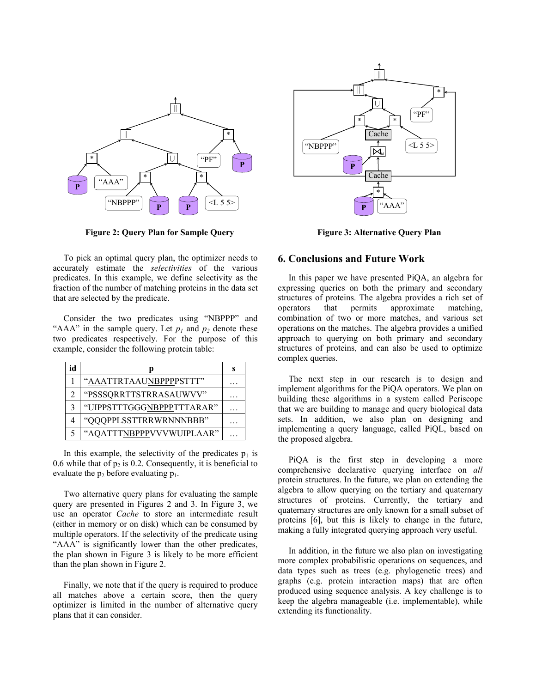

**Figure 2: Query Plan for Sample Query** 

To pick an optimal query plan, the optimizer needs to accurately estimate the *selectivities* of the various predicates. In this example, we define selectivity as the fraction of the number of matching proteins in the data set that are selected by the predicate.

Consider the two predicates using "NBPPP" and "AAA" in the sample query. Let  $p_1$  and  $p_2$  denote these two predicates respectively. For the purpose of this example, consider the following protein table:

| id |                           | s |
|----|---------------------------|---|
|    | "AAATTRTAAUNBPPPPSTTT"    |   |
| 2  | "PSSSQRRTTSTRRASAUWVV"    |   |
| 3  | "UIPPSTTTGGGNBPPPTTTARAR" |   |
|    | "QQQPPLSSTTRRWRNNNBBB"    |   |
|    | "AQATTTNBPPPVVVWUIPLAAR"  |   |

In this example, the selectivity of the predicates  $p_1$  is 0.6 while that of  $p_2$  is 0.2. Consequently, it is beneficial to evaluate the  $p_2$  before evaluating  $p_1$ .

Two alternative query plans for evaluating the sample query are presented in Figures 2 and 3. In Figure 3, we use an operator *Cache* to store an intermediate result (either in memory or on disk) which can be consumed by multiple operators. If the selectivity of the predicate using "AAA" is significantly lower than the other predicates, the plan shown in Figure 3 is likely to be more efficient than the plan shown in Figure 2.

Finally, we note that if the query is required to produce all matches above a certain score, then the query optimizer is limited in the number of alternative query plans that it can consider.



**Figure 3: Alternative Query Plan** 

## **6. Conclusions and Future Work**

In this paper we have presented PiQA, an algebra for expressing queries on both the primary and secondary structures of proteins. The algebra provides a rich set of operators that permits approximate matching, combination of two or more matches, and various set operations on the matches. The algebra provides a unified approach to querying on both primary and secondary structures of proteins, and can also be used to optimize complex queries.

The next step in our research is to design and implement algorithms for the PiQA operators. We plan on building these algorithms in a system called Periscope that we are building to manage and query biological data sets. In addition, we also plan on designing and implementing a query language, called PiQL, based on the proposed algebra.

PiQA is the first step in developing a more comprehensive declarative querying interface on *all* protein structures. In the future, we plan on extending the algebra to allow querying on the tertiary and quaternary structures of proteins. Currently, the tertiary and quaternary structures are only known for a small subset of proteins [6], but this is likely to change in the future, making a fully integrated querying approach very useful.

In addition, in the future we also plan on investigating more complex probabilistic operations on sequences, and data types such as trees (e.g. phylogenetic trees) and graphs (e.g. protein interaction maps) that are often produced using sequence analysis. A key challenge is to keep the algebra manageable (i.e. implementable), while extending its functionality.